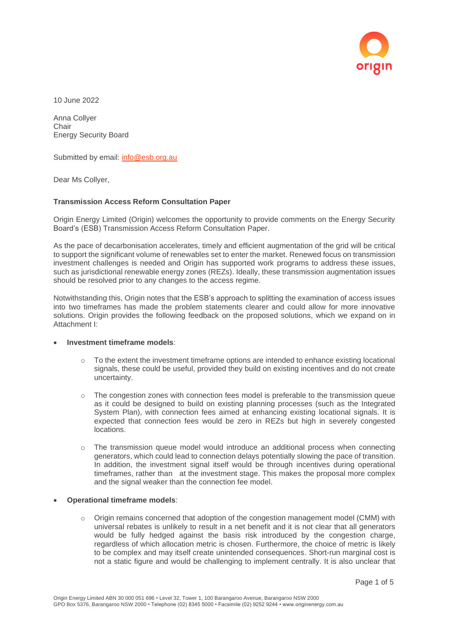

10 June 2022

Anna Collyer **Chair** Energy Security Board

Submitted by email: [info@esb.org.au](mailto:info@esb.org.au)

Dear Ms Collyer,

## **Transmission Access Reform Consultation Paper**

Origin Energy Limited (Origin) welcomes the opportunity to provide comments on the Energy Security Board's (ESB) Transmission Access Reform Consultation Paper.

As the pace of decarbonisation accelerates, timely and efficient augmentation of the grid will be critical to support the significant volume of renewables set to enter the market. Renewed focus on transmission investment challenges is needed and Origin has supported work programs to address these issues, such as jurisdictional renewable energy zones (REZs). Ideally, these transmission augmentation issues should be resolved prior to any changes to the access regime.

Notwithstanding this, Origin notes that the ESB's approach to splitting the examination of access issues into two timeframes has made the problem statements clearer and could allow for more innovative solutions. Origin provides the following feedback on the proposed solutions, which we expand on in Attachment I:

## • **Investment timeframe models**:

- o To the extent the investment timeframe options are intended to enhance existing locational signals, these could be useful, provided they build on existing incentives and do not create uncertainty.
- $\circ$  The congestion zones with connection fees model is preferable to the transmission queue as it could be designed to build on existing planning processes (such as the Integrated System Plan), with connection fees aimed at enhancing existing locational signals. It is expected that connection fees would be zero in REZs but high in severely congested locations.
- $\circ$  The transmission queue model would introduce an additional process when connecting generators, which could lead to connection delays potentially slowing the pace of transition. In addition, the investment signal itself would be through incentives during operational timeframes, rather than at the investment stage. This makes the proposal more complex and the signal weaker than the connection fee model.
- **Operational timeframe models**:
	- $\circ$  Origin remains concerned that adoption of the congestion management model (CMM) with universal rebates is unlikely to result in a net benefit and it is not clear that all generators would be fully hedged against the basis risk introduced by the congestion charge, regardless of which allocation metric is chosen. Furthermore, the choice of metric is likely to be complex and may itself create unintended consequences. Short-run marginal cost is not a static figure and would be challenging to implement centrally. It is also unclear that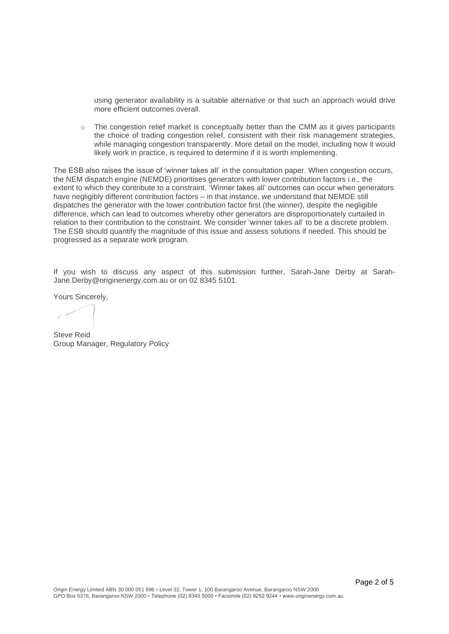using generator availability is a suitable alternative or that such an approach would drive more efficient outcomes overall.

 $\circ$  The congestion relief market is conceptually better than the CMM as it gives participants the choice of trading congestion relief, consistent with their risk management strategies, while managing congestion transparently. More detail on the model, including how it would likely work in practice, is required to determine if it is worth implementing.

The ESB also raises the issue of 'winner takes all' in the consultation paper. When congestion occurs, the NEM dispatch engine (NEMDE) prioritises generators with lower contribution factors i.e., the extent to which they contribute to a constraint. 'Winner takes all' outcomes can occur when generators have negligibly different contribution factors – in that instance, we understand that NEMDE still dispatches the generator with the lower contribution factor first (the winner), despite the negligible difference, which can lead to outcomes whereby other generators are disproportionately curtailed in relation to their contribution to the constraint. We consider 'winner takes all' to be a discrete problem. The ESB should quantify the magnitude of this issue and assess solutions if needed. This should be progressed as a separate work program.

If you wish to discuss any aspect of this submission further, Sarah-Jane Derby at Sarah-Jane.Derby@originenergy.com.au or on 02 8345 5101.

Yours Sincerely,

Steve Reid Group Manager, Regulatory Policy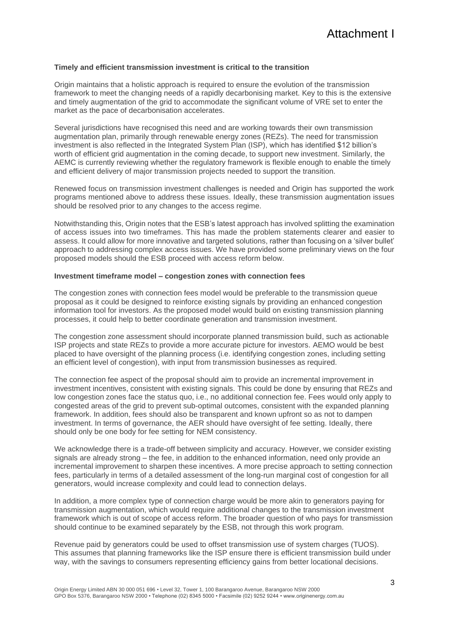## **Timely and efficient transmission investment is critical to the transition**

Origin maintains that a holistic approach is required to ensure the evolution of the transmission framework to meet the changing needs of a rapidly decarbonising market. Key to this is the extensive and timely augmentation of the grid to accommodate the significant volume of VRE set to enter the market as the pace of decarbonisation accelerates.

Several jurisdictions have recognised this need and are working towards their own transmission augmentation plan, primarily through renewable energy zones (REZs). The need for transmission investment is also reflected in the Integrated System Plan (ISP), which has identified \$12 billion's worth of efficient grid augmentation in the coming decade, to support new investment. Similarly, the AEMC is currently reviewing whether the regulatory framework is flexible enough to enable the timely and efficient delivery of major transmission projects needed to support the transition.

Renewed focus on transmission investment challenges is needed and Origin has supported the work programs mentioned above to address these issues. Ideally, these transmission augmentation issues should be resolved prior to any changes to the access regime.

Notwithstanding this, Origin notes that the ESB's latest approach has involved splitting the examination of access issues into two timeframes. This has made the problem statements clearer and easier to assess. It could allow for more innovative and targeted solutions, rather than focusing on a 'silver bullet' approach to addressing complex access issues. We have provided some preliminary views on the four proposed models should the ESB proceed with access reform below.

## **Investment timeframe model – congestion zones with connection fees**

The congestion zones with connection fees model would be preferable to the transmission queue proposal as it could be designed to reinforce existing signals by providing an enhanced congestion information tool for investors. As the proposed model would build on existing transmission planning processes, it could help to better coordinate generation and transmission investment.

The congestion zone assessment should incorporate planned transmission build, such as actionable ISP projects and state REZs to provide a more accurate picture for investors. AEMO would be best placed to have oversight of the planning process (i.e. identifying congestion zones, including setting an efficient level of congestion), with input from transmission businesses as required.

The connection fee aspect of the proposal should aim to provide an incremental improvement in investment incentives, consistent with existing signals. This could be done by ensuring that REZs and low congestion zones face the status quo, i.e., no additional connection fee. Fees would only apply to congested areas of the grid to prevent sub-optimal outcomes, consistent with the expanded planning framework. In addition, fees should also be transparent and known upfront so as not to dampen investment. In terms of governance, the AER should have oversight of fee setting. Ideally, there should only be one body for fee setting for NEM consistency.

We acknowledge there is a trade-off between simplicity and accuracy. However, we consider existing signals are already strong – the fee, in addition to the enhanced information, need only provide an incremental improvement to sharpen these incentives. A more precise approach to setting connection fees, particularly in terms of a detailed assessment of the long-run marginal cost of congestion for all generators, would increase complexity and could lead to connection delays.

In addition, a more complex type of connection charge would be more akin to generators paying for transmission augmentation, which would require additional changes to the transmission investment framework which is out of scope of access reform. The broader question of who pays for transmission should continue to be examined separately by the ESB, not through this work program.

Revenue paid by generators could be used to offset transmission use of system charges (TUOS). This assumes that planning frameworks like the ISP ensure there is efficient transmission build under way, with the savings to consumers representing efficiency gains from better locational decisions.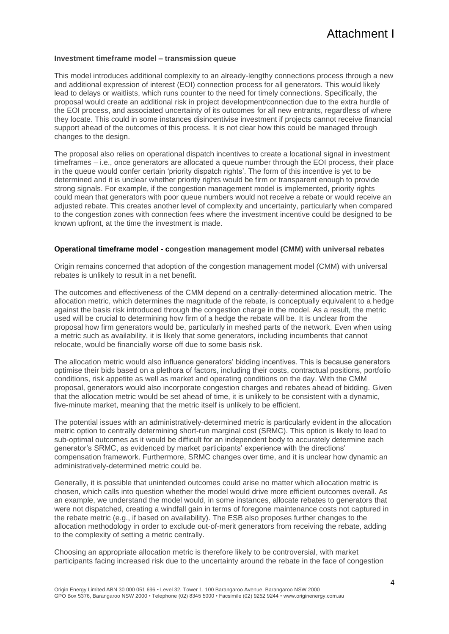# Attachment I

#### **Investment timeframe model – transmission queue**

This model introduces additional complexity to an already-lengthy connections process through a new and additional expression of interest (EOI) connection process for all generators. This would likely lead to delays or waitlists, which runs counter to the need for timely connections. Specifically, the proposal would create an additional risk in project development/connection due to the extra hurdle of the EOI process, and associated uncertainty of its outcomes for all new entrants, regardless of where they locate. This could in some instances disincentivise investment if projects cannot receive financial support ahead of the outcomes of this process. It is not clear how this could be managed through changes to the design.

The proposal also relies on operational dispatch incentives to create a locational signal in investment timeframes – i.e., once generators are allocated a queue number through the EOI process, their place in the queue would confer certain 'priority dispatch rights'. The form of this incentive is yet to be determined and it is unclear whether priority rights would be firm or transparent enough to provide strong signals. For example, if the congestion management model is implemented, priority rights could mean that generators with poor queue numbers would not receive a rebate or would receive an adjusted rebate. This creates another level of complexity and uncertainty, particularly when compared to the congestion zones with connection fees where the investment incentive could be designed to be known upfront, at the time the investment is made.

### **Operational timeframe model - congestion management model (CMM) with universal rebates**

Origin remains concerned that adoption of the congestion management model (CMM) with universal rebates is unlikely to result in a net benefit.

The outcomes and effectiveness of the CMM depend on a centrally-determined allocation metric. The allocation metric, which determines the magnitude of the rebate, is conceptually equivalent to a hedge against the basis risk introduced through the congestion charge in the model. As a result, the metric used will be crucial to determining how firm of a hedge the rebate will be. It is unclear from the proposal how firm generators would be, particularly in meshed parts of the network. Even when using a metric such as availability, it is likely that some generators, including incumbents that cannot relocate, would be financially worse off due to some basis risk.

The allocation metric would also influence generators' bidding incentives. This is because generators optimise their bids based on a plethora of factors, including their costs, contractual positions, portfolio conditions, risk appetite as well as market and operating conditions on the day. With the CMM proposal, generators would also incorporate congestion charges and rebates ahead of bidding. Given that the allocation metric would be set ahead of time, it is unlikely to be consistent with a dynamic, five-minute market, meaning that the metric itself is unlikely to be efficient.

The potential issues with an administratively-determined metric is particularly evident in the allocation metric option to centrally determining short-run marginal cost (SRMC). This option is likely to lead to sub-optimal outcomes as it would be difficult for an independent body to accurately determine each generator's SRMC, as evidenced by market participants' experience with the directions' compensation framework. Furthermore, SRMC changes over time, and it is unclear how dynamic an administratively-determined metric could be.

Generally, it is possible that unintended outcomes could arise no matter which allocation metric is chosen, which calls into question whether the model would drive more efficient outcomes overall. As an example, we understand the model would, in some instances, allocate rebates to generators that were not dispatched, creating a windfall gain in terms of foregone maintenance costs not captured in the rebate metric (e.g., if based on availability). The ESB also proposes further changes to the allocation methodology in order to exclude out-of-merit generators from receiving the rebate, adding to the complexity of setting a metric centrally.

Choosing an appropriate allocation metric is therefore likely to be controversial, with market participants facing increased risk due to the uncertainty around the rebate in the face of congestion